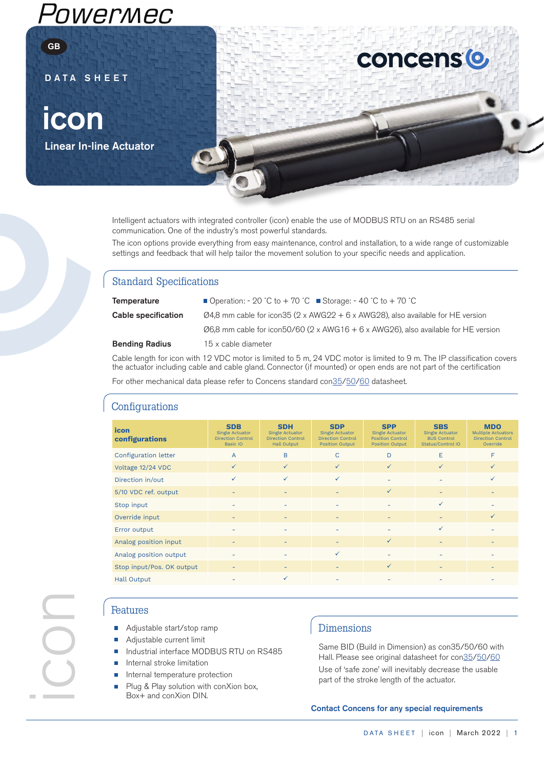



DATA SHEET

icon Linear In-line Actuator

> Intelligent actuators with integrated controller (icon) enable the use of MODBUS RTU on an RS485 serial communication. One of the industry's most powerful standards.

The icon options provide everything from easy maintenance, control and installation, to a wide range of customizable settings and feedback that will help tailor the movement solution to your specific needs and application.

# Standard Specifications

| Temperature                | ■ Operation: $-20$ °C to $+70$ °C ■ Storage: $-40$ °C to $+70$ °C                              |
|----------------------------|------------------------------------------------------------------------------------------------|
| <b>Cable specification</b> | $\varnothing$ 4,8 mm cable for icon 35 (2 x AWG22 + 6 x AWG28), also available for HE version  |
|                            | $\emptyset$ 6,8 mm cable for icon 50/60 (2 x AWG16 + 6 x AWG26), also available for HE version |
| <b>Bending Radius</b>      | 15 x cable diameter                                                                            |

Cable length for icon with 12 VDC motor is limited to 5 m, 24 VDC motor is limited to 9 m. The IP classification covers the actuator including cable and cable gland. Connector (if mounted) or open ends are not part of the certification

For other mechanical data please refer to Concens standard co[n35/50](https://www.concens.com/information/downloads/)/[60](https://www.concens.com/information/downloads/) datasheet.

| icon<br>configurations    | <b>SDB</b><br><b>Single Actuator</b><br><b>Direction Control</b><br>Basic IO | <b>SDH</b><br><b>Single Actuator</b><br><b>Direction Control</b><br><b>Hall Output</b> | <b>SDP</b><br><b>Single Actuator</b><br><b>Direction Control</b><br><b>Position Output</b> | <b>SPP</b><br><b>Single Actuator</b><br><b>Position Control</b><br><b>Position Output</b> | <b>SBS</b><br><b>Single Actuator</b><br><b>BUS Control</b><br>Status/Control IO | <b>MDO</b><br><b>Multiple Actuators</b><br><b>Direction Control</b><br>Override |
|---------------------------|------------------------------------------------------------------------------|----------------------------------------------------------------------------------------|--------------------------------------------------------------------------------------------|-------------------------------------------------------------------------------------------|---------------------------------------------------------------------------------|---------------------------------------------------------------------------------|
| Configuration letter      | A                                                                            | B                                                                                      | C.                                                                                         | D                                                                                         | E                                                                               | F                                                                               |
| Voltage 12/24 VDC         | $\checkmark$                                                                 | $\checkmark$                                                                           | $\checkmark$                                                                               | $\checkmark$                                                                              | $\checkmark$                                                                    | $\checkmark$                                                                    |
| Direction in/out          | ✓                                                                            | ✓                                                                                      | ✓                                                                                          |                                                                                           |                                                                                 |                                                                                 |
| 5/10 VDC ref. output      |                                                                              |                                                                                        |                                                                                            | ✓                                                                                         |                                                                                 |                                                                                 |
| Stop input                |                                                                              |                                                                                        |                                                                                            |                                                                                           | ✓                                                                               |                                                                                 |
| Override input            |                                                                              |                                                                                        |                                                                                            |                                                                                           |                                                                                 | $\checkmark$                                                                    |
| Error output              |                                                                              |                                                                                        |                                                                                            |                                                                                           | ✓                                                                               |                                                                                 |
| Analog position input     |                                                                              |                                                                                        |                                                                                            | $\checkmark$                                                                              |                                                                                 |                                                                                 |
| Analog position output    |                                                                              |                                                                                        | $\checkmark$                                                                               |                                                                                           |                                                                                 |                                                                                 |
| Stop input/Pos. OK output |                                                                              |                                                                                        |                                                                                            | $\checkmark$                                                                              |                                                                                 |                                                                                 |
| <b>Hall Output</b>        |                                                                              | ✓                                                                                      |                                                                                            |                                                                                           |                                                                                 |                                                                                 |

# **Configurations**

# icon

# Features

- Adjustable start/stop ramp
- Adjustable current limit
- Industrial interface MODBUS RTU on RS485
- Internal stroke limitation  $\overline{\phantom{a}}$
- Internal temperature protection
- Plug & Play solution with conXion box, Box+ and conXion DIN.

# Dimensions

Same BID (Build in Dimension) as con35/50/60 with Hall. Please see original datasheet for co[n35/50/60](https://www.concens.com/information/downloads/) Use of 'safe zone' will inevitably decrease the usable part of the stroke length of the actuator.

concens<sup>(o)</sup>

### Contact Concens for any special requirements

#### DATA SHEET | icon | March 2022 | 1